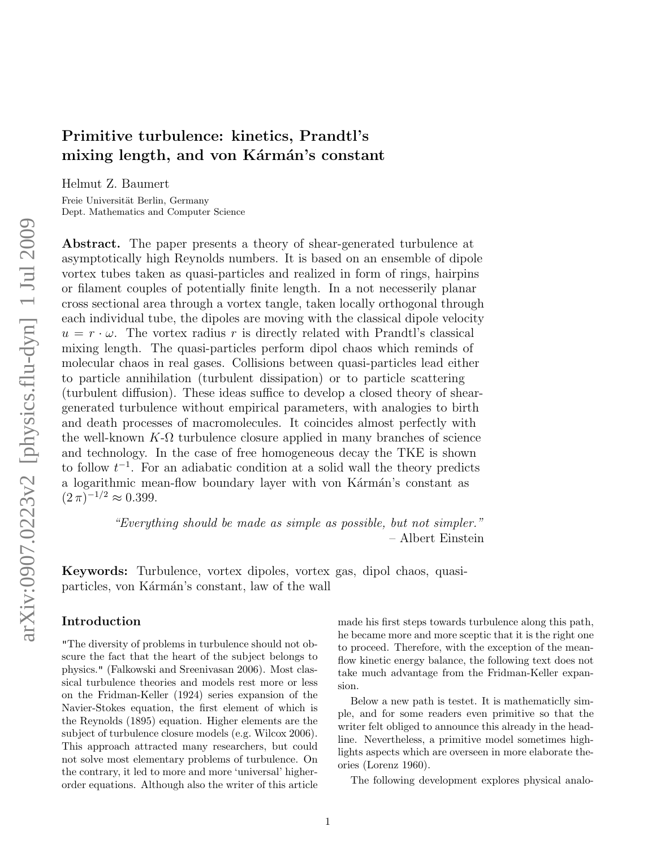# Primitive turbulence: kinetics, Prandtl's mixing length, and von Kármán's constant

Helmut Z. Baumert

Freie Universität Berlin, Germany Dept. Mathematics and Computer Science

Abstract. The paper presents a theory of shear-generated turbulence at asymptotically high Reynolds numbers. It is based on an ensemble of dipole vortex tubes taken as quasi-particles and realized in form of rings, hairpins or filament couples of potentially finite length. In a not necesserily planar cross sectional area through a vortex tangle, taken locally orthogonal through each individual tube, the dipoles are moving with the classical dipole velocity  $u = r \cdot \omega$ . The vortex radius r is directly related with Prandtl's classical mixing length. The quasi-particles perform dipol chaos which reminds of molecular chaos in real gases. Collisions between quasi-particles lead either to particle annihilation (turbulent dissipation) or to particle scattering (turbulent diffusion). These ideas suffice to develop a closed theory of sheargenerated turbulence without empirical parameters, with analogies to birth and death processes of macromolecules. It coincides almost perfectly with the well-known  $K-\Omega$  turbulence closure applied in many branches of science and technology. In the case of free homogeneous decay the TKE is shown to follow  $t^{-1}$ . For an adiabatic condition at a solid wall the theory predicts a logarithmic mean-flow boundary layer with von Kármán's constant as  $(2 \pi)^{-1/2} \approx 0.399.$ 

> "Everything should be made as simple as possible, but not simpler." – Albert Einstein

Keywords: Turbulence, vortex dipoles, vortex gas, dipol chaos, quasiparticles, von Kármán's constant, law of the wall

# Introduction

"The diversity of problems in turbulence should not obscure the fact that the heart of the subject belongs to physics." (Falkowski and Sreenivasan 2006). Most classical turbulence theories and models rest more or less on the Fridman-Keller (1924) series expansion of the Navier-Stokes equation, the first element of which is the Reynolds (1895) equation. Higher elements are the subject of turbulence closure models (e.g. Wilcox 2006). This approach attracted many researchers, but could not solve most elementary problems of turbulence. On the contrary, it led to more and more 'universal' higherorder equations. Although also the writer of this article

made his first steps towards turbulence along this path, he became more and more sceptic that it is the right one to proceed. Therefore, with the exception of the meanflow kinetic energy balance, the following text does not take much advantage from the Fridman-Keller expansion.

Below a new path is testet. It is mathematiclly simple, and for some readers even primitive so that the writer felt obliged to announce this already in the headline. Nevertheless, a primitive model sometimes highlights aspects which are overseen in more elaborate theories (Lorenz 1960).

The following development explores physical analo-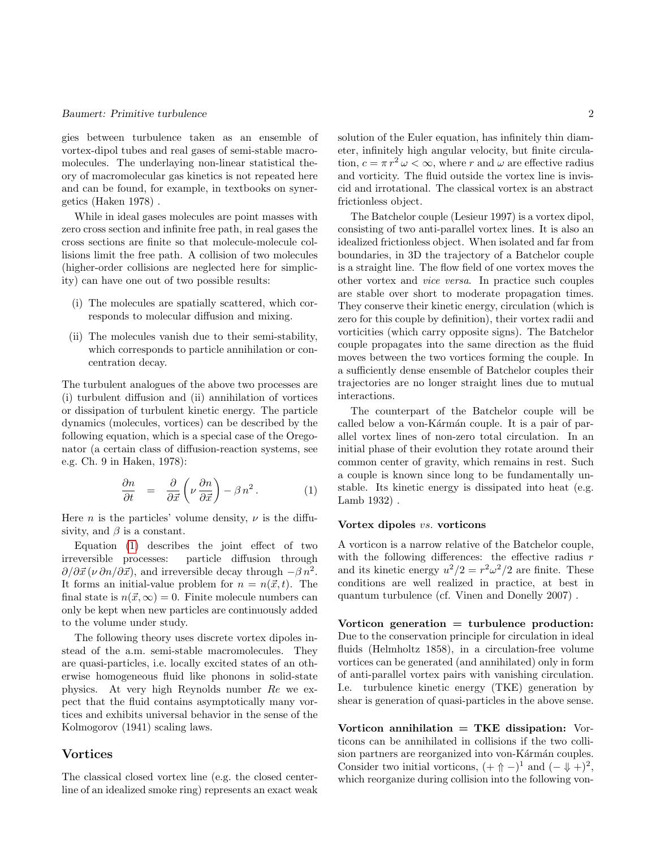gies between turbulence taken as an ensemble of vortex-dipol tubes and real gases of semi-stable macromolecules. The underlaying non-linear statistical theory of macromolecular gas kinetics is not repeated here and can be found, for example, in textbooks on synergetics (Haken 1978) .

While in ideal gases molecules are point masses with zero cross section and infinite free path, in real gases the cross sections are finite so that molecule-molecule collisions limit the free path. A collision of two molecules (higher-order collisions are neglected here for simplicity) can have one out of two possible results:

- (i) The molecules are spatially scattered, which corresponds to molecular diffusion and mixing.
- (ii) The molecules vanish due to their semi-stability, which corresponds to particle annihilation or concentration decay.

The turbulent analogues of the above two processes are (i) turbulent diffusion and (ii) annihilation of vortices or dissipation of turbulent kinetic energy. The particle dynamics (molecules, vortices) can be described by the following equation, which is a special case of the Oregonator (a certain class of diffusion-reaction systems, see e.g. Ch. 9 in Haken, 1978):

<span id="page-1-0"></span>
$$
\frac{\partial n}{\partial t} = \frac{\partial}{\partial \vec{x}} \left( \nu \frac{\partial n}{\partial \vec{x}} \right) - \beta n^2.
$$
 (1)

Here *n* is the particles' volume density,  $\nu$  is the diffusivity, and  $\beta$  is a constant.

Equation [\(1\)](#page-1-0) describes the joint effect of two irreversible processes: particle diffusion through  $\partial/\partial \vec{x} (\nu \partial n / \partial \vec{x})$ , and irreversible decay through  $-\beta n^2$ . It forms an initial-value problem for  $n = n(\vec{x}, t)$ . The final state is  $n(\vec{x}, \infty) = 0$ . Finite molecule numbers can only be kept when new particles are continuously added to the volume under study.

The following theory uses discrete vortex dipoles instead of the a.m. semi-stable macromolecules. They are quasi-particles, i.e. locally excited states of an otherwise homogeneous fluid like phonons in solid-state physics. At very high Reynolds number Re we expect that the fluid contains asymptotically many vortices and exhibits universal behavior in the sense of the Kolmogorov (1941) scaling laws.

## Vortices

The classical closed vortex line (e.g. the closed centerline of an idealized smoke ring) represents an exact weak solution of the Euler equation, has infinitely thin diameter, infinitely high angular velocity, but finite circulation,  $c = \pi r^2 \omega < \infty$ , where r and  $\omega$  are effective radius and vorticity. The fluid outside the vortex line is inviscid and irrotational. The classical vortex is an abstract frictionless object.

The Batchelor couple (Lesieur 1997) is a vortex dipol, consisting of two anti-parallel vortex lines. It is also an idealized frictionless object. When isolated and far from boundaries, in 3D the trajectory of a Batchelor couple is a straight line. The flow field of one vortex moves the other vortex and vice versa. In practice such couples are stable over short to moderate propagation times. They conserve their kinetic energy, circulation (which is zero for this couple by definition), their vortex radii and vorticities (which carry opposite signs). The Batchelor couple propagates into the same direction as the fluid moves between the two vortices forming the couple. In a sufficiently dense ensemble of Batchelor couples their trajectories are no longer straight lines due to mutual interactions.

The counterpart of the Batchelor couple will be called below a von-Kármán couple. It is a pair of parallel vortex lines of non-zero total circulation. In an initial phase of their evolution they rotate around their common center of gravity, which remains in rest. Such a couple is known since long to be fundamentally unstable. Its kinetic energy is dissipated into heat (e.g. Lamb 1932) .

#### Vortex dipoles vs. vorticons

A vorticon is a narrow relative of the Batchelor couple, with the following differences: the effective radius  $r$ and its kinetic energy  $u^2/2 = r^2 \omega^2/2$  are finite. These conditions are well realized in practice, at best in quantum turbulence (cf. Vinen and Donelly 2007) .

Vorticon generation  $=$  turbulence production: Due to the conservation principle for circulation in ideal fluids (Helmholtz 1858), in a circulation-free volume vortices can be generated (and annihilated) only in form of anti-parallel vortex pairs with vanishing circulation. I.e. turbulence kinetic energy (TKE) generation by shear is generation of quasi-particles in the above sense.

Vorticon annihilation  $=$  TKE dissipation: Vorticons can be annihilated in collisions if the two collision partners are reorganized into von-Kármán couples. Consider two initial vorticons,  $(+ \Uparrow -)^1$  and  $(- \Downarrow +)^2$ , which reorganize during collision into the following von-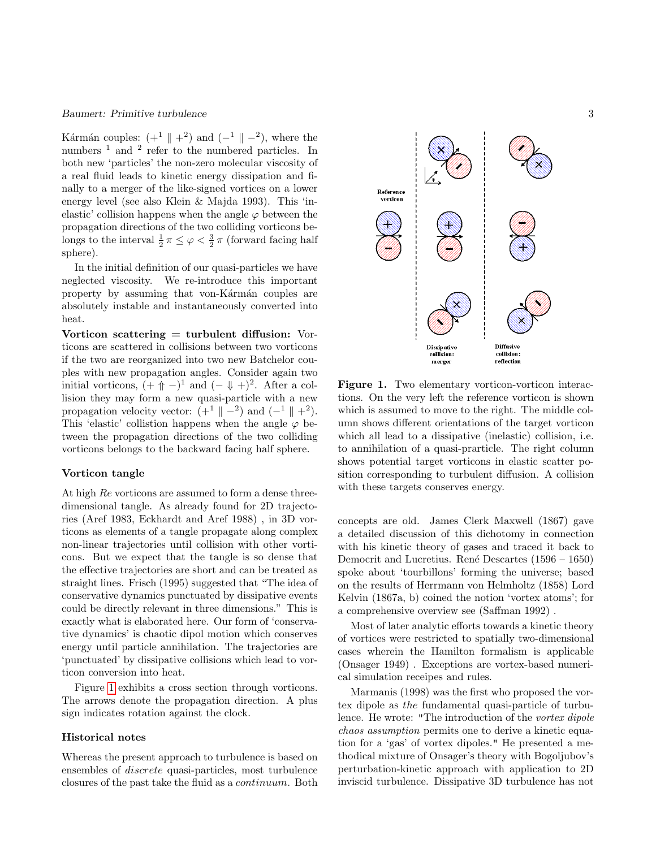Kármán couples:  $(+^1 \parallel +^2)$  and  $(-^1 \parallel -^2)$ , where the numbers  $<sup>1</sup>$  and  $<sup>2</sup>$  refer to the numbered particles. In</sup></sup> both new 'particles' the non-zero molecular viscosity of a real fluid leads to kinetic energy dissipation and finally to a merger of the like-signed vortices on a lower energy level (see also Klein & Majda 1993). This 'inelastic' collision happens when the angle  $\varphi$  between the propagation directions of the two colliding vorticons belongs to the interval  $\frac{1}{2} \pi \leq \varphi < \frac{3}{2} \pi$  (forward facing half sphere).

In the initial definition of our quasi-particles we have neglected viscosity. We re-introduce this important property by assuming that von-Kármán couples are absolutely instable and instantaneously converted into heat.

Vorticon scattering  $=$  turbulent diffusion: Vorticons are scattered in collisions between two vorticons if the two are reorganized into two new Batchelor couples with new propagation angles. Consider again two initial vorticons,  $( + \uparrow + )^{1}$  and  $( - \downarrow + )^{2}$ . After a collision they may form a new quasi-particle with a new propagation velocity vector:  $(+^1 \parallel -^2)$  and  $(-^1 \parallel +^2)$ . This 'elastic' collistion happens when the angle  $\varphi$  between the propagation directions of the two colliding vorticons belongs to the backward facing half sphere.

#### Vorticon tangle

At high Re vorticons are assumed to form a dense threedimensional tangle. As already found for 2D trajectories (Aref 1983, Eckhardt and Aref 1988) , in 3D vorticons as elements of a tangle propagate along complex non-linear trajectories until collision with other vorticons. But we expect that the tangle is so dense that the effective trajectories are short and can be treated as straight lines. Frisch (1995) suggested that "The idea of conservative dynamics punctuated by dissipative events could be directly relevant in three dimensions." This is exactly what is elaborated here. Our form of 'conservative dynamics' is chaotic dipol motion which conserves energy until particle annihilation. The trajectories are 'punctuated' by dissipative collisions which lead to vorticon conversion into heat.

Figure [1](#page-2-0) exhibits a cross section through vorticons. The arrows denote the propagation direction. A plus sign indicates rotation against the clock.

## Historical notes

Whereas the present approach to turbulence is based on ensembles of discrete quasi-particles, most turbulence closures of the past take the fluid as a continuum. Both



<span id="page-2-0"></span>Figure 1. Two elementary vorticon-vorticon interactions. On the very left the reference vorticon is shown which is assumed to move to the right. The middle column shows different orientations of the target vorticon which all lead to a dissipative (inelastic) collision, i.e. to annihilation of a quasi-prarticle. The right column shows potential target vorticons in elastic scatter position corresponding to turbulent diffusion. A collision with these targets conserves energy.

concepts are old. James Clerk Maxwell (1867) gave a detailed discussion of this dichotomy in connection with his kinetic theory of gases and traced it back to Democrit and Lucretius. René Descartes (1596 – 1650) spoke about 'tourbillons' forming the universe; based on the results of Herrmann von Helmholtz (1858) Lord Kelvin (1867a, b) coined the notion 'vortex atoms'; for a comprehensive overview see (Saffman 1992) .

Most of later analytic efforts towards a kinetic theory of vortices were restricted to spatially two-dimensional cases wherein the Hamilton formalism is applicable (Onsager 1949) . Exceptions are vortex-based numerical simulation receipes and rules.

Marmanis (1998) was the first who proposed the vortex dipole as the fundamental quasi-particle of turbulence. He wrote: "The introduction of the vortex dipole chaos assumption permits one to derive a kinetic equation for a 'gas' of vortex dipoles." He presented a methodical mixture of Onsager's theory with Bogoljubov's perturbation-kinetic approach with application to 2D inviscid turbulence. Dissipative 3D turbulence has not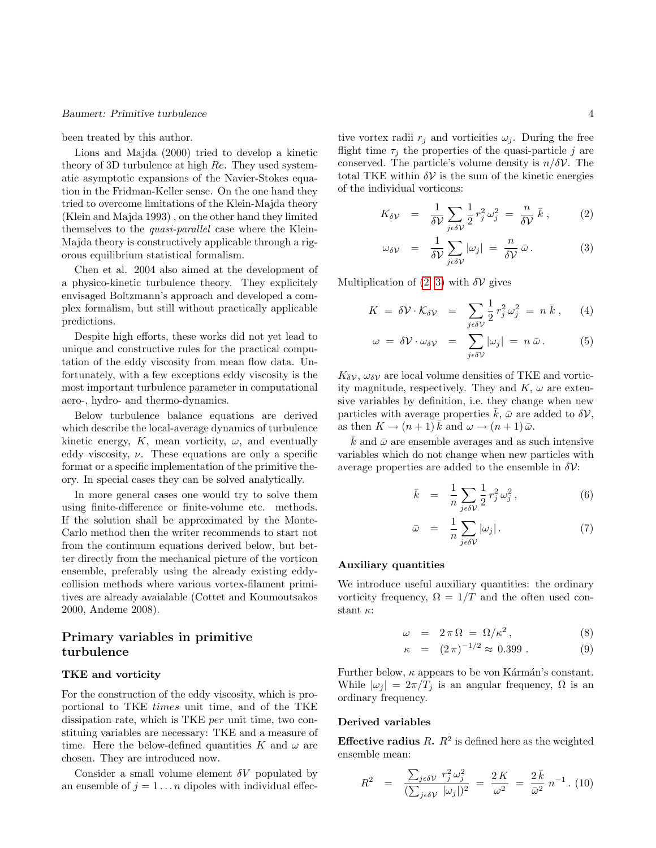been treated by this author.

Lions and Majda (2000) tried to develop a kinetic theory of 3D turbulence at high Re. They used systematic asymptotic expansions of the Navier-Stokes equation in the Fridman-Keller sense. On the one hand they tried to overcome limitations of the Klein-Majda theory (Klein and Majda 1993) , on the other hand they limited themselves to the quasi-parallel case where the Klein-Majda theory is constructively applicable through a rigorous equilibrium statistical formalism.

Chen et al. 2004 also aimed at the development of a physico-kinetic turbulence theory. They explicitely envisaged Boltzmann's approach and developed a complex formalism, but still without practically applicable predictions.

Despite high efforts, these works did not yet lead to unique and constructive rules for the practical computation of the eddy viscosity from mean flow data. Unfortunately, with a few exceptions eddy viscosity is the most important turbulence parameter in computational aero-, hydro- and thermo-dynamics.

Below turbulence balance equations are derived which describe the local-average dynamics of turbulence kinetic energy,  $K$ , mean vorticity,  $\omega$ , and eventually eddy viscosity,  $\nu$ . These equations are only a specific format or a specific implementation of the primitive theory. In special cases they can be solved analytically.

In more general cases one would try to solve them using finite-difference or finite-volume etc. methods. If the solution shall be approximated by the Monte-Carlo method then the writer recommends to start not from the continuum equations derived below, but better directly from the mechanical picture of the vorticon ensemble, preferably using the already existing eddycollision methods where various vortex-filament primitives are already avaialable (Cottet and Koumoutsakos 2000, Andeme 2008).

# Primary variables in primitive turbulence

#### TKE and vorticity

For the construction of the eddy viscosity, which is proportional to TKE times unit time, and of the TKE dissipation rate, which is TKE per unit time, two constituing variables are necessary: TKE and a measure of time. Here the below-defined quantities K and  $\omega$  are chosen. They are introduced now.

Consider a small volume element  $\delta V$  populated by an ensemble of  $j = 1 \dots n$  dipoles with individual effec-

tive vortex radii  $r_i$  and vorticities  $\omega_i$ . During the free flight time  $\tau_i$  the properties of the quasi-particle j are conserved. The particle's volume density is  $n/\delta \mathcal{V}$ . The total TKE within  $\delta V$  is the sum of the kinetic energies of the individual vorticons:

<span id="page-3-0"></span>
$$
K_{\delta \mathcal{V}} = \frac{1}{\delta \mathcal{V}} \sum_{j \in \delta \mathcal{V}} \frac{1}{2} r_j^2 \omega_j^2 = \frac{n}{\delta \mathcal{V}} \bar{k} , \qquad (2)
$$

$$
\omega_{\delta V} = \frac{1}{\delta V} \sum_{j \in \delta V} |\omega_j| = \frac{n}{\delta V} \bar{\omega}.
$$
 (3)

Multiplication of  $(2, 3)$  with  $\delta \mathcal{V}$  gives

$$
K = \delta \mathcal{V} \cdot \mathcal{K}_{\delta \mathcal{V}} = \sum_{j \in \delta \mathcal{V}} \frac{1}{2} r_j^2 \omega_j^2 = n \bar{k} , \qquad (4)
$$

$$
\omega = \delta \mathcal{V} \cdot \omega_{\delta \mathcal{V}} = \sum_{j \in \delta \mathcal{V}} |\omega_j| = n \, \bar{\omega} \,.
$$
 (5)

 $K_{\delta\mathcal{V}}, \omega_{\delta\mathcal{V}}$  are local volume densities of TKE and vorticity magnitude, respectively. They and  $K, \omega$  are extensive variables by definition, i.e. they change when new particles with average properties  $k, \bar{\omega}$  are added to  $\delta V$ , as then  $K \to (n+1) k$  and  $\omega \to (n+1) \bar{\omega}$ .

 $\bar{k}$  and  $\bar{\omega}$  are ensemble averages and as such intensive variables which do not change when new particles with average properties are added to the ensemble in  $\delta \mathcal{V}$ :

<span id="page-3-2"></span>
$$
\bar{k} = \frac{1}{n} \sum_{j \in \delta V} \frac{1}{2} r_j^2 \omega_j^2, \qquad (6)
$$

$$
\bar{\omega} = \frac{1}{n} \sum_{j \in \delta \mathcal{V}} |\omega_j| \,. \tag{7}
$$

# Auxiliary quantities

We introduce useful auxiliary quantities: the ordinary vorticity frequency,  $\Omega = 1/T$  and the often used constant  $\kappa$ :

$$
\omega = 2\pi\Omega = \Omega/\kappa^2, \qquad (8)
$$

<span id="page-3-3"></span>
$$
\kappa = (2\,\pi)^{-1/2} \approx 0.399 \,. \tag{9}
$$

Further below,  $\kappa$  appears to be von Kármán's constant. While  $|\omega_j| = 2\pi/T_j$  is an angular frequency,  $\Omega$  is an ordinary frequency.

#### Derived variables

**Effective radius** R.  $R^2$  is defined here as the weighted ensemble mean:

<span id="page-3-1"></span>
$$
R^2 = \frac{\sum_{j \in \delta \mathcal{V}} r_j^2 \omega_j^2}{(\sum_{j \in \delta \mathcal{V}} |\omega_j|)^2} = \frac{2K}{\omega^2} = \frac{2\bar{k}}{\bar{\omega}^2} n^{-1}.
$$
 (10)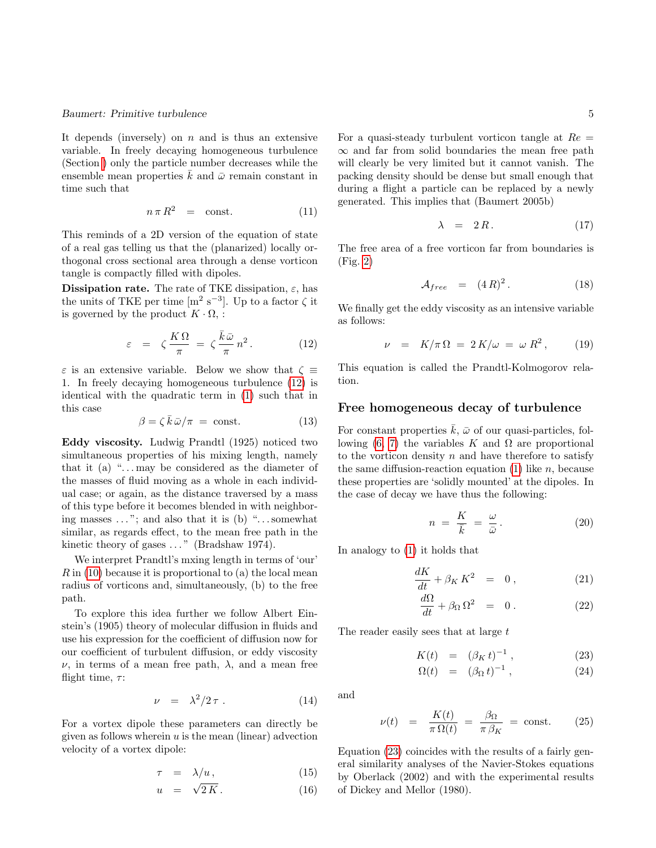It depends (inversely) on  $n$  and is thus an extensive variable. In freely decaying homogeneous turbulence (Section [\)](#page-4-0) only the particle number decreases while the ensemble mean properties  $\bar{k}$  and  $\bar{\omega}$  remain constant in time such that

$$
n \pi R^2 = \text{const.} \tag{11}
$$

This reminds of a 2D version of the equation of state of a real gas telling us that the (planarized) locally orthogonal cross sectional area through a dense vorticon tangle is compactly filled with dipoles.

**Dissipation rate.** The rate of TKE dissipation,  $\varepsilon$ , has the units of TKE per time  $\left[m^2 s^{-3}\right]$ . Up to a factor  $\zeta$  it is governed by the product  $K \cdot \Omega$ , :

<span id="page-4-1"></span>
$$
\varepsilon = \zeta \frac{K\Omega}{\pi} = \zeta \frac{\bar{k}\bar{\omega}}{\pi} n^2. \tag{12}
$$

 $\varepsilon$  is an extensive variable. Below we show that  $\zeta \equiv$ 1. In freely decaying homogeneous turbulence [\(12\)](#page-4-1) is identical with the quadratic term in [\(1\)](#page-1-0) such that in this case

$$
\beta = \zeta \,\bar{k}\,\bar{\omega}/\pi = \text{const.}\tag{13}
$$

Eddy viscosity. Ludwig Prandtl (1925) noticed two simultaneous properties of his mixing length, namely that it (a) " $\dots$  may be considered as the diameter of the masses of fluid moving as a whole in each individual case; or again, as the distance traversed by a mass of this type before it becomes blended in with neighboring masses  $\dots$ "; and also that it is (b) " $\dots$  somewhat similar, as regards effect, to the mean free path in the kinetic theory of gases  $\dots$ " (Bradshaw 1974).

We interpret Prandtl's mxing length in terms of 'our'  $R$  in [\(10\)](#page-3-1) because it is proportional to (a) the local mean radius of vorticons and, simultaneously, (b) to the free path.

To explore this idea further we follow Albert Einstein's (1905) theory of molecular diffusion in fluids and use his expression for the coefficient of diffusion now for our coefficient of turbulent diffusion, or eddy viscosity  $\nu$ , in terms of a mean free path,  $\lambda$ , and a mean free flight time,  $\tau$ :

$$
\nu = \lambda^2 / 2 \tau \,. \tag{14}
$$

For a vortex dipole these parameters can directly be given as follows wherein  $u$  is the mean (linear) advection velocity of a vortex dipole:

$$
\tau = \lambda/u, \tag{15}
$$

$$
u = \sqrt{2}K. \tag{16}
$$

For a quasi-steady turbulent vorticon tangle at  $Re =$  $\infty$  and far from solid boundaries the mean free path will clearly be very limited but it cannot vanish. The packing density should be dense but small enough that during a flight a particle can be replaced by a newly generated. This implies that (Baumert 2005b)

$$
\lambda = 2R. \tag{17}
$$

The free area of a free vorticon far from boundaries is (Fig. [2\)](#page-5-0)

<span id="page-4-6"></span>
$$
\mathcal{A}_{free} = (4R)^2. \tag{18}
$$

We finally get the eddy viscosity as an intensive variable as follows:

<span id="page-4-4"></span>
$$
\nu = K/\pi \Omega = 2K/\omega = \omega R^2, \qquad (19)
$$

This equation is called the Prandtl-Kolmogorov relation.

# Free homogeneous decay of turbulence

<span id="page-4-0"></span>For constant properties  $\bar{k}$ ,  $\bar{\omega}$  of our quasi-particles, fol-lowing [\(6, 7\)](#page-3-2) the variables K and Ω are proportional to the vorticon density  $n$  and have therefore to satisfy the same diffusion-reaction equation  $(1)$  like n, because these properties are 'solidly mounted' at the dipoles. In the case of decay we have thus the following:

$$
n = \frac{K}{\bar{k}} = \frac{\omega}{\bar{\omega}}.
$$
 (20)

In analogy to [\(1\)](#page-1-0) it holds that

$$
\frac{dK}{dt} + \beta_K K^2 = 0, \qquad (21)
$$

<span id="page-4-3"></span>
$$
\frac{d\Omega}{dt} + \beta_\Omega \Omega^2 = 0.
$$
 (22)

The reader easily sees that at large t

$$
K(t) = (\beta_K t)^{-1}, \t(23)
$$

<span id="page-4-2"></span>
$$
\Omega(t) = (\beta_{\Omega} t)^{-1}, \qquad (24)
$$

and

<span id="page-4-5"></span>
$$
\nu(t) = \frac{K(t)}{\pi \,\Omega(t)} = \frac{\beta_{\Omega}}{\pi \,\beta_K} = \text{const.} \tag{25}
$$

Equation [\(23\)](#page-4-2) coincides with the results of a fairly general similarity analyses of the Navier-Stokes equations by Oberlack (2002) and with the experimental results of Dickey and Mellor (1980).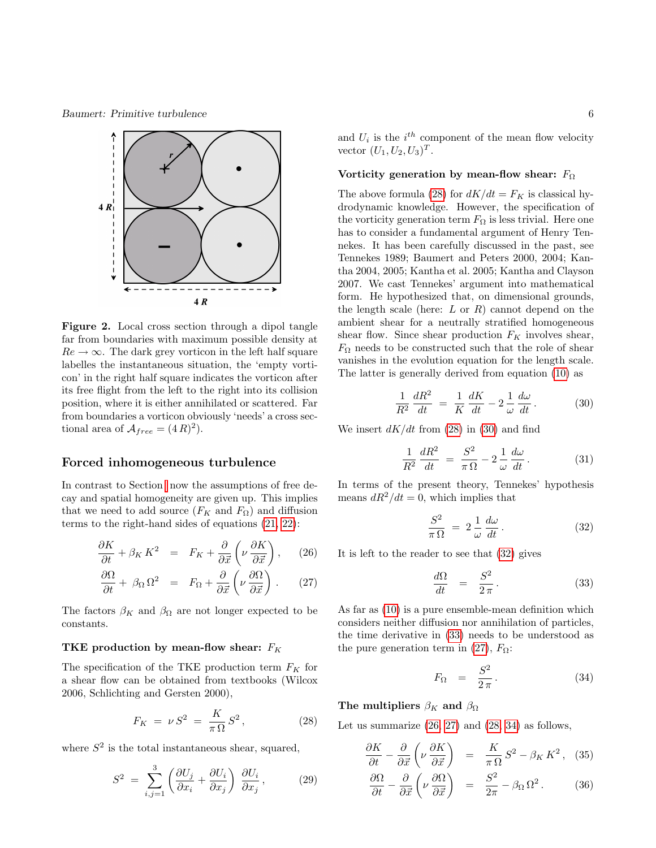Baumert: Primitive turbulence 6



<span id="page-5-0"></span>Figure 2. Local cross section through a dipol tangle far from boundaries with maximum possible density at  $Re \rightarrow \infty$ . The dark grey vorticon in the left half square labelles the instantaneous situation, the 'empty vorticon' in the right half square indicates the vorticon after its free flight from the left to the right into its collision position, where it is either annihilated or scattered. Far from boundaries a vorticon obviously 'needs' a cross sectional area of  $\mathcal{A}_{free} = (4R)^2$ .

# Forced inhomogeneous turbulence

In contrast to Section now the assumptions of free decay and spatial homogeneity are given up. This implies that we need to add source  $(F_K \text{ and } F_{\Omega})$  and diffusion terms to the right-hand sides of equations [\(21, 22\)](#page-4-3):

<span id="page-5-5"></span>
$$
\frac{\partial K}{\partial t} + \beta_K K^2 = F_K + \frac{\partial}{\partial \vec{x}} \left( \nu \frac{\partial K}{\partial \vec{x}} \right), \quad (26)
$$

$$
\frac{\partial \Omega}{\partial t} + \beta_{\Omega} \Omega^2 = F_{\Omega} + \frac{\partial}{\partial \vec{x}} \left( \nu \frac{\partial \Omega}{\partial \vec{x}} \right). \tag{27}
$$

The factors  $\beta_K$  and  $\beta_\Omega$  are not longer expected to be constants.

# TKE production by mean-flow shear:  $F_K$

The specification of the TKE production term  $F_K$  for a shear flow can be obtained from textbooks (Wilcox 2006, Schlichting and Gersten 2000),

<span id="page-5-1"></span>
$$
F_K \ = \ \nu \, S^2 \ = \ \frac{K}{\pi \, \Omega} \, S^2 \,, \tag{28}
$$

where  $S^2$  is the total instantaneous shear, squared,

<span id="page-5-8"></span>
$$
S^{2} = \sum_{i,j=1}^{3} \left( \frac{\partial U_{j}}{\partial x_{i}} + \frac{\partial U_{i}}{\partial x_{j}} \right) \frac{\partial U_{i}}{\partial x_{j}}, \qquad (29)
$$

and  $U_i$  is the  $i^{th}$  component of the mean flow velocity vector  $(U_1, U_2, U_3)^T$ .

#### Vorticity generation by mean-flow shear:  $F_{\Omega}$

The above formula [\(28\)](#page-5-1) for  $dK/dt = F_K$  is classical hydrodynamic knowledge. However, the specification of the vorticity generation term  $F_{\Omega}$  is less trivial. Here one has to consider a fundamental argument of Henry Tennekes. It has been carefully discussed in the past, see Tennekes 1989; Baumert and Peters 2000, 2004; Kantha 2004, 2005; Kantha et al. 2005; Kantha and Clayson 2007. We cast Tennekes' argument into mathematical form. He hypothesized that, on dimensional grounds, the length scale (here:  $L$  or  $R$ ) cannot depend on the ambient shear for a neutrally stratified homogeneous shear flow. Since shear production  $F_K$  involves shear,  $F_{\Omega}$  needs to be constructed such that the role of shear vanishes in the evolution equation for the length scale. The latter is generally derived from equation [\(10\)](#page-3-1) as

<span id="page-5-2"></span>
$$
\frac{1}{R^2}\frac{dR^2}{dt} = \frac{1}{K}\frac{dK}{dt} - 2\frac{1}{\omega}\frac{d\omega}{dt}.
$$
 (30)

We insert  $dK/dt$  from [\(28\)](#page-5-1) in [\(30\)](#page-5-2) and find

$$
\frac{1}{R^2}\frac{dR^2}{dt} = \frac{S^2}{\pi\Omega} - 2\frac{1}{\omega}\frac{d\omega}{dt}.
$$
 (31)

In terms of the present theory, Tennekes' hypothesis means  $dR^2/dt = 0$ , which implies that

<span id="page-5-3"></span>
$$
\frac{S^2}{\pi\Omega} = 2\frac{1}{\omega}\frac{d\omega}{dt}.
$$
 (32)

It is left to the reader to see that [\(32\)](#page-5-3) gives

<span id="page-5-4"></span>
$$
\frac{d\Omega}{dt} = \frac{S^2}{2\pi}.
$$
\n(33)

As far as [\(10\)](#page-3-1) is a pure ensemble-mean definition which considers neither diffusion nor annihilation of particles, the time derivative in [\(33\)](#page-5-4) needs to be understood as the pure generation term in [\(27\)](#page-5-5),  $F_{\Omega}$ :

<span id="page-5-6"></span>
$$
F_{\Omega} = \frac{S^2}{2\pi}.
$$
 (34)

The multipliers  $\beta_K$  and  $\beta_\Omega$ 

Let us summarize  $(26, 27)$  and  $(28, 34)$  $(28, 34)$  as follows,

<span id="page-5-7"></span>
$$
\frac{\partial K}{\partial t} - \frac{\partial}{\partial \vec{x}} \left( \nu \frac{\partial K}{\partial \vec{x}} \right) = \frac{K}{\pi \Omega} S^2 - \beta_K K^2, \quad (35)
$$

$$
\frac{\partial \Omega}{\partial t} - \frac{\partial}{\partial \vec{x}} \left( \nu \frac{\partial \Omega}{\partial \vec{x}} \right) = \frac{S^2}{2\pi} - \beta_\Omega \Omega^2. \quad (36)
$$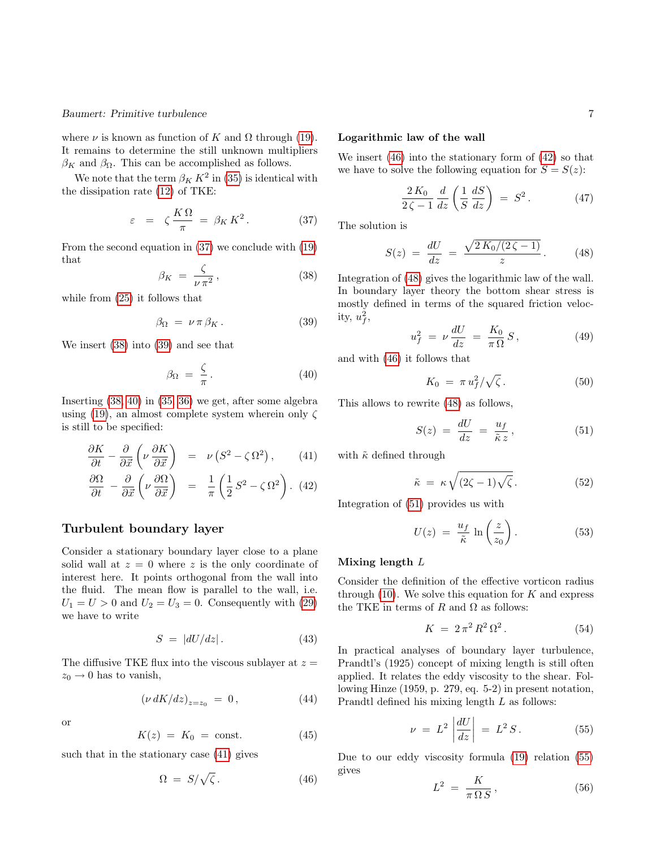where  $\nu$  is known as function of K and  $\Omega$  through [\(19\)](#page-4-4). It remains to determine the still unknown multipliers  $\beta_K$  and  $\beta_\Omega$ . This can be accomplished as follows.

We note that the term  $\beta_K K^2$  in [\(35\)](#page-5-7) is identical with the dissipation rate [\(12\)](#page-4-1) of TKE:

<span id="page-6-0"></span>
$$
\varepsilon = \zeta \frac{K\Omega}{\pi} = \beta_K K^2. \tag{37}
$$

From the second equation in [\(37\)](#page-6-0) we conclude with [\(19\)](#page-4-4) that

<span id="page-6-1"></span>
$$
\beta_K = \frac{\zeta}{\nu \pi^2},\tag{38}
$$

while from [\(25\)](#page-4-5) it follows that

<span id="page-6-2"></span>
$$
\beta_{\Omega} = \nu \pi \beta_K. \tag{39}
$$

We insert [\(38\)](#page-6-1) into [\(39\)](#page-6-2) and see that

<span id="page-6-3"></span>
$$
\beta_{\Omega} = \frac{\zeta}{\pi}.
$$
\n(40)

Inserting [\(38,](#page-6-1) [40\)](#page-6-3) in [\(35, 36\)](#page-5-7) we get, after some algebra using [\(19\)](#page-4-4), an almost complete system wherein only  $\zeta$ is still to be specified:

$$
\frac{\partial K}{\partial t} - \frac{\partial}{\partial \vec{x}} \left( \nu \frac{\partial K}{\partial \vec{x}} \right) = \nu \left( S^2 - \zeta \Omega^2 \right), \qquad (41)
$$

<span id="page-6-4"></span>
$$
\frac{\partial \Omega}{\partial t} - \frac{\partial}{\partial \vec{x}} \left( \nu \frac{\partial \Omega}{\partial \vec{x}} \right) = \frac{1}{\pi} \left( \frac{1}{2} S^2 - \zeta \Omega^2 \right). (42)
$$

# Turbulent boundary layer

Consider a stationary boundary layer close to a plane solid wall at  $z = 0$  where z is the only coordinate of interest here. It points orthogonal from the wall into the fluid. The mean flow is parallel to the wall, i.e.  $U_1 = U > 0$  and  $U_2 = U_3 = 0$ . Consequently with [\(29\)](#page-5-8) we have to write

$$
S = |dU/dz|.
$$
 (43)

The diffusive TKE flux into the viscous sublayer at  $z =$  $z_0 \rightarrow 0$  has to vanish,

$$
\left(\nu \, dK/dz\right)_{z=z_0} = 0, \tag{44}
$$

$$
\alpha
$$

$$
K(z) = K_0 = \text{const.} \tag{45}
$$

such that in the stationary case [\(41\)](#page-6-4) gives

<span id="page-6-5"></span>
$$
\Omega = S/\sqrt{\zeta}.
$$
 (46)

#### Logarithmic law of the wall

We insert [\(46\)](#page-6-5) into the stationary form of [\(42\)](#page-6-4) so that we have to solve the following equation for  $S = S(z)$ :

$$
\frac{2K_0}{2\zeta - 1} \frac{d}{dz} \left( \frac{1}{S} \frac{dS}{dz} \right) = S^2.
$$
 (47)

The solution is

<span id="page-6-6"></span>
$$
S(z) = \frac{dU}{dz} = \frac{\sqrt{2K_0/(2\zeta - 1)}}{z}.
$$
 (48)

Integration of [\(48\)](#page-6-6) gives the logarithmic law of the wall. In boundary layer theory the bottom shear stress is mostly defined in terms of the squared friction velocity,  $u_f^2$ ,

$$
u_f^2 = \nu \frac{dU}{dz} = \frac{K_0}{\pi \Omega} S, \qquad (49)
$$

and with [\(46\)](#page-6-5) it follows that

$$
K_0 = \pi u_f^2 / \sqrt{\zeta} \,. \tag{50}
$$

This allows to rewrite [\(48\)](#page-6-6) as follows,

<span id="page-6-7"></span>
$$
S(z) = \frac{dU}{dz} = \frac{u_f}{\tilde{\kappa} z},\tag{51}
$$

with  $\tilde{\kappa}$  defined through

$$
\tilde{\kappa} = \kappa \sqrt{(2\zeta - 1)\sqrt{\zeta}}.
$$
\n(52)

Integration of [\(51\)](#page-6-7) provides us with

$$
U(z) = \frac{u_f}{\tilde{\kappa}} \ln\left(\frac{z}{z_0}\right). \tag{53}
$$

#### Mixing length L

Consider the definition of the effective vorticon radius through  $(10)$ . We solve this equation for K and express the TKE in terms of  $R$  and  $\Omega$  as follows:

<span id="page-6-9"></span>
$$
K = 2\pi^2 R^2 \Omega^2. \tag{54}
$$

In practical analyses of boundary layer turbulence, Prandtl's (1925) concept of mixing length is still often applied. It relates the eddy viscosity to the shear. Following Hinze (1959, p. 279, eq. 5-2) in present notation, Prandtl defined his mixing length L as follows:

<span id="page-6-8"></span>
$$
\nu = L^2 \left| \frac{dU}{dz} \right| = L^2 S. \tag{55}
$$

Due to our eddy viscosity formula [\(19\)](#page-4-4) relation [\(55\)](#page-6-8) gives

$$
L^2 = \frac{K}{\pi \Omega S},\tag{56}
$$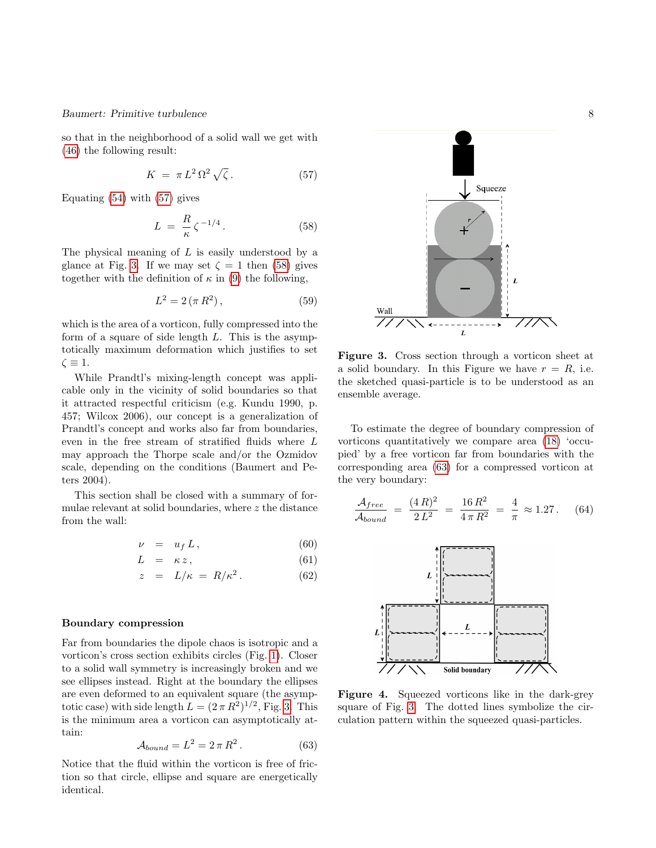so that in the neighborhood of a solid wall we get with [\(46\)](#page-6-5) the following result:

<span id="page-7-0"></span>
$$
K = \pi L^2 \Omega^2 \sqrt{\zeta} \,. \tag{57}
$$

Equating [\(54\)](#page-6-9) with [\(57\)](#page-7-0) gives

<span id="page-7-2"></span>
$$
L = \frac{R}{\kappa} \zeta^{-1/4}.
$$
 (58)

The physical meaning of  $L$  is easily understood by a glance at Fig. [3.](#page-7-1) If we may set  $\zeta = 1$  then [\(58\)](#page-7-2) gives together with the definition of  $\kappa$  in [\(9\)](#page-3-3) the following,

$$
L^2 = 2(\pi R^2),
$$
 (59)

which is the area of a vorticon, fully compressed into the form of a square of side length  $L$ . This is the asymptotically maximum deformation which justifies to set  $\zeta \equiv 1.$ 

While Prandtl's mixing-length concept was applicable only in the vicinity of solid boundaries so that it attracted respectful criticism (e.g. Kundu 1990, p. 457; Wilcox 2006), our concept is a generalization of Prandtl's concept and works also far from boundaries, even in the free stream of stratified fluids where L may approach the Thorpe scale and/or the Ozmidov scale, depending on the conditions (Baumert and Peters 2004).

This section shall be closed with a summary of formulae relevant at solid boundaries, where z the distance from the wall:

$$
\nu = u_f L, \qquad (60)
$$

$$
L = \kappa z, \tag{61}
$$

$$
z = L/\kappa = R/\kappa^2. \tag{62}
$$

#### Boundary compression

Far from boundaries the dipole chaos is isotropic and a vorticon's cross section exhibits circles (Fig. [1\)](#page-2-0). Closer to a solid wall symmetry is increasingly broken and we see ellipses instead. Right at the boundary the ellipses are even deformed to an equivalent square (the asymptotic case) with side length  $L = (2 \pi R^2)^{1/2}$ , Fig. [3.](#page-7-1) This is the minimum area a vorticon can asymptotically attain:

<span id="page-7-3"></span>
$$
\mathcal{A}_{bound} = L^2 = 2\pi R^2. \tag{63}
$$

Notice that the fluid within the vorticon is free of friction so that circle, ellipse and square are energetically identical.





<span id="page-7-1"></span>Figure 3. Cross section through a vorticon sheet at a solid boundary. In this Figure we have  $r = R$ , i.e. the sketched quasi-particle is to be understood as an ensemble average.

To estimate the degree of boundary compression of vorticons quantitatively we compare area [\(18\)](#page-4-6) 'occupied' by a free vorticon far from boundaries with the corresponding area [\(63\)](#page-7-3) for a compressed vorticon at the very boundary:

$$
\frac{\mathcal{A}_{free}}{\mathcal{A}_{bound}} = \frac{(4\,R)^2}{2\,L^2} = \frac{16\,R^2}{4\,\pi\,R^2} = \frac{4}{\pi} \approx 1.27. \tag{64}
$$



Figure 4. Squeezed vorticons like in the dark-grey square of Fig. [3.](#page-7-1) The dotted lines symbolize the circulation pattern within the squeezed quasi-particles.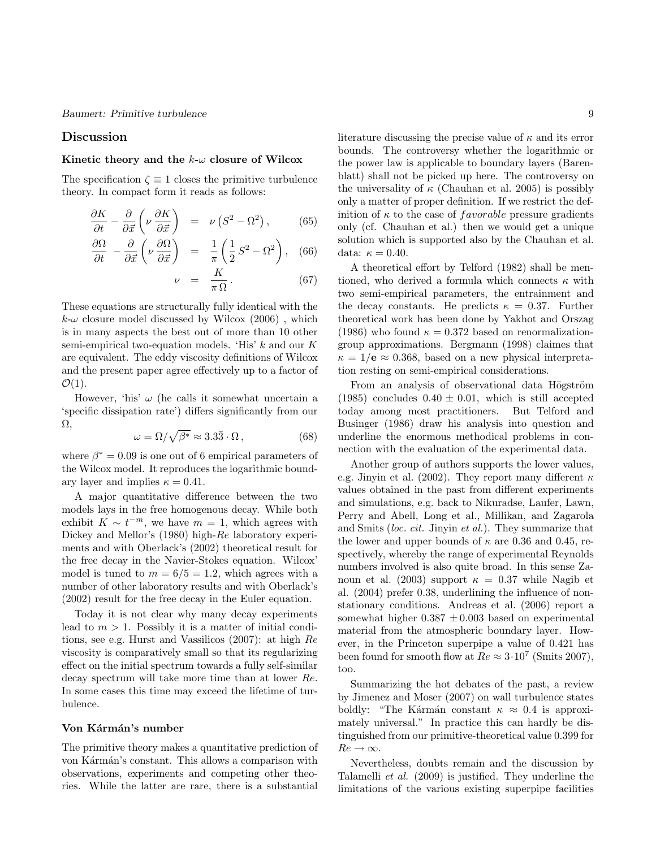#### Discussion

#### Kinetic theory and the  $k-\omega$  closure of Wilcox

The specification  $\zeta \equiv 1$  closes the primitive turbulence theory. In compact form it reads as follows:

$$
\frac{\partial K}{\partial t} - \frac{\partial}{\partial \vec{x}} \left( \nu \frac{\partial K}{\partial \vec{x}} \right) = \nu \left( S^2 - \Omega^2 \right), \quad (65)
$$

$$
\frac{\partial \Omega}{\partial t} - \frac{\partial}{\partial \vec{x}} \left( \nu \frac{\partial \Omega}{\partial \vec{x}} \right) = \frac{1}{\pi} \left( \frac{1}{2} S^2 - \Omega^2 \right), \quad (66)
$$

$$
\nu = \frac{K}{\pi \Omega}.
$$
 (67)

These equations are structurally fully identical with the  $k-\omega$  closure model discussed by Wilcox (2006), which is in many aspects the best out of more than 10 other semi-empirical two-equation models. 'His'  $k$  and our K are equivalent. The eddy viscosity definitions of Wilcox and the present paper agree effectively up to a factor of  $\mathcal{O}(1)$ .

However, 'his'  $\omega$  (he calls it somewhat uncertain a 'specific dissipation rate') differs significantly from our  $\Omega$ ,

$$
\omega = \Omega / \sqrt{\beta^*} \approx 3.3\overline{3} \cdot \Omega \,, \tag{68}
$$

where  $\beta^* = 0.09$  is one out of 6 empirical parameters of the Wilcox model. It reproduces the logarithmic boundary layer and implies  $\kappa = 0.41$ .

A major quantitative difference between the two models lays in the free homogenous decay. While both exhibit  $K \sim t^{-m}$ , we have  $m = 1$ , which agrees with Dickey and Mellor's (1980) high-Re laboratory experiments and with Oberlack's (2002) theoretical result for the free decay in the Navier-Stokes equation. Wilcox' model is tuned to  $m = 6/5 = 1.2$ , which agrees with a number of other laboratory results and with Oberlack's (2002) result for the free decay in the Euler equation.

Today it is not clear why many decay experiments lead to  $m > 1$ . Possibly it is a matter of initial conditions, see e.g. Hurst and Vassilicos (2007): at high Re viscosity is comparatively small so that its regularizing effect on the initial spectrum towards a fully self-similar decay spectrum will take more time than at lower Re. In some cases this time may exceed the lifetime of turbulence.

#### Von Kármán's number

The primitive theory makes a quantitative prediction of von Kármán's constant. This allows a comparison with observations, experiments and competing other theories. While the latter are rare, there is a substantial

literature discussing the precise value of  $\kappa$  and its error bounds. The controversy whether the logarithmic or the power law is applicable to boundary layers (Barenblatt) shall not be picked up here. The controversy on the universality of  $\kappa$  (Chauhan et al. 2005) is possibly only a matter of proper definition. If we restrict the definition of  $\kappa$  to the case of *f* avorable pressure gradients only (cf. Chauhan et al.) then we would get a unique solution which is supported also by the Chauhan et al. data:  $\kappa = 0.40$ .

A theoretical effort by Telford (1982) shall be mentioned, who derived a formula which connects  $\kappa$  with two semi-empirical parameters, the entrainment and the decay constants. He predicts  $\kappa = 0.37$ . Further theoretical work has been done by Yakhot and Orszag (1986) who found  $\kappa = 0.372$  based on renormalizationgroup approximations. Bergmann (1998) claimes that  $\kappa = 1/e \approx 0.368$ , based on a new physical interpretation resting on semi-empirical considerations.

From an analysis of observational data Högström  $(1985)$  concludes  $0.40 \pm 0.01$ , which is still accepted today among most practitioners. But Telford and Businger (1986) draw his analysis into question and underline the enormous methodical problems in connection with the evaluation of the experimental data.

Another group of authors supports the lower values, e.g. Jinyin et al. (2002). They report many different  $\kappa$ values obtained in the past from different experiments and simulations, e.g. back to Nikuradse, Laufer, Lawn, Perry and Abell, Long et al., Millikan, and Zagarola and Smits (loc. cit. Jinyin et al.). They summarize that the lower and upper bounds of  $\kappa$  are 0.36 and 0.45, respectively, whereby the range of experimental Reynolds numbers involved is also quite broad. In this sense Zanoun et al. (2003) support  $\kappa = 0.37$  while Nagib et al. (2004) prefer 0.38, underlining the influence of nonstationary conditions. Andreas et al. (2006) report a somewhat higher  $0.387 \pm 0.003$  based on experimental material from the atmospheric boundary layer. However, in the Princeton superpipe a value of 0.421 has been found for smooth flow at  $Re \approx 3.10^7$  (Smits 2007), too.

Summarizing the hot debates of the past, a review by Jimenez and Moser (2007) on wall turbulence states boldly: "The Kármán constant  $\kappa \approx 0.4$  is approximately universal." In practice this can hardly be distinguished from our primitive-theoretical value 0.399 for  $Re \rightarrow \infty$ .

Nevertheless, doubts remain and the discussion by Talamelli et al. (2009) is justified. They underline the limitations of the various existing superpipe facilities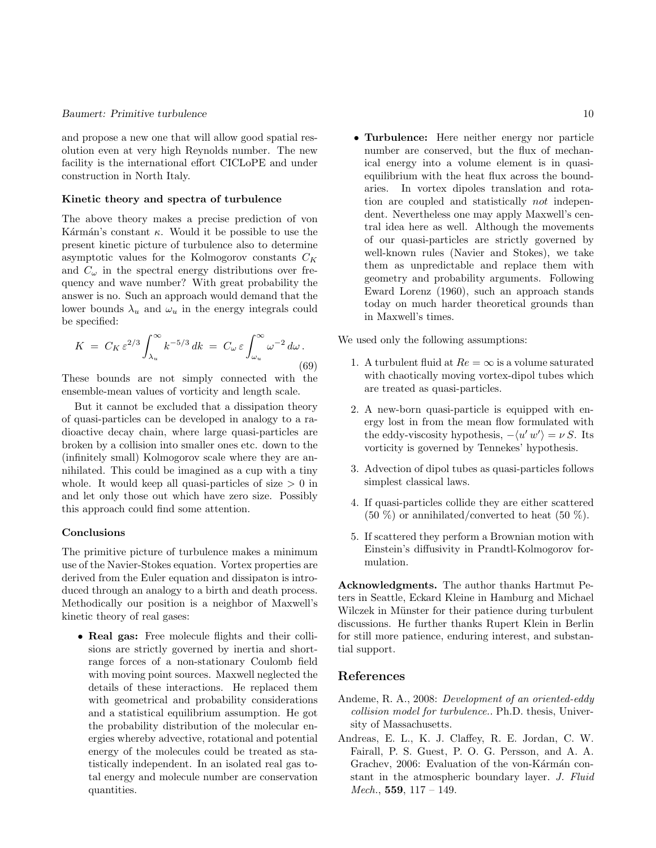and propose a new one that will allow good spatial resolution even at very high Reynolds number. The new facility is the international effort CICLoPE and under construction in North Italy.

#### Kinetic theory and spectra of turbulence

The above theory makes a precise prediction of von Kármán's constant  $\kappa$ . Would it be possible to use the present kinetic picture of turbulence also to determine asymptotic values for the Kolmogorov constants  $C_K$ and  $C_{\omega}$  in the spectral energy distributions over frequency and wave number? With great probability the answer is no. Such an approach would demand that the lower bounds  $\lambda_u$  and  $\omega_u$  in the energy integrals could be specified:

$$
K = C_K \varepsilon^{2/3} \int_{\lambda_u}^{\infty} k^{-5/3} dk = C_\omega \varepsilon \int_{\omega_u}^{\infty} \omega^{-2} d\omega.
$$
\n(69)

These bounds are not simply connected with the ensemble-mean values of vorticity and length scale.

But it cannot be excluded that a dissipation theory of quasi-particles can be developed in analogy to a radioactive decay chain, where large quasi-particles are broken by a collision into smaller ones etc. down to the (infinitely small) Kolmogorov scale where they are annihilated. This could be imagined as a cup with a tiny whole. It would keep all quasi-particles of size  $> 0$  in and let only those out which have zero size. Possibly this approach could find some attention.

#### Conclusions

The primitive picture of turbulence makes a minimum use of the Navier-Stokes equation. Vortex properties are derived from the Euler equation and dissipaton is introduced through an analogy to a birth and death process. Methodically our position is a neighbor of Maxwell's kinetic theory of real gases:

• Real gas: Free molecule flights and their collisions are strictly governed by inertia and shortrange forces of a non-stationary Coulomb field with moving point sources. Maxwell neglected the details of these interactions. He replaced them with geometrical and probability considerations and a statistical equilibrium assumption. He got the probability distribution of the molecular energies whereby advective, rotational and potential energy of the molecules could be treated as statistically independent. In an isolated real gas total energy and molecule number are conservation quantities.

• Turbulence: Here neither energy nor particle number are conserved, but the flux of mechanical energy into a volume element is in quasiequilibrium with the heat flux across the boundaries. In vortex dipoles translation and rotation are coupled and statistically not independent. Nevertheless one may apply Maxwell's central idea here as well. Although the movements of our quasi-particles are strictly governed by well-known rules (Navier and Stokes), we take them as unpredictable and replace them with geometry and probability arguments. Following Eward Lorenz (1960), such an approach stands today on much harder theoretical grounds than in Maxwell's times.

We used only the following assumptions:

- 1. A turbulent fluid at  $Re = \infty$  is a volume saturated with chaotically moving vortex-dipol tubes which are treated as quasi-particles.
- 2. A new-born quasi-particle is equipped with energy lost in from the mean flow formulated with the eddy-viscosity hypothesis,  $-\langle u' w' \rangle = \nu S$ . Its vorticity is governed by Tennekes' hypothesis.
- 3. Advection of dipol tubes as quasi-particles follows simplest classical laws.
- 4. If quasi-particles collide they are either scattered  $(50\%)$  or annihilated/converted to heat  $(50\%)$ .
- 5. If scattered they perform a Brownian motion with Einstein's diffusivity in Prandtl-Kolmogorov formulation.

Acknowledgments. The author thanks Hartmut Peters in Seattle, Eckard Kleine in Hamburg and Michael Wilczek in Münster for their patience during turbulent discussions. He further thanks Rupert Klein in Berlin for still more patience, enduring interest, and substantial support.

# References

- Andeme, R. A., 2008: Development of an oriented-eddy collision model for turbulence.. Ph.D. thesis, University of Massachusetts.
- Andreas, E. L., K. J. Claffey, R. E. Jordan, C. W. Fairall, P. S. Guest, P. O. G. Persson, and A. A. Grachev, 2006: Evaluation of the von-Kármán constant in the atmospheric boundary layer. J. Fluid Mech.,  $559$ ,  $117 - 149$ .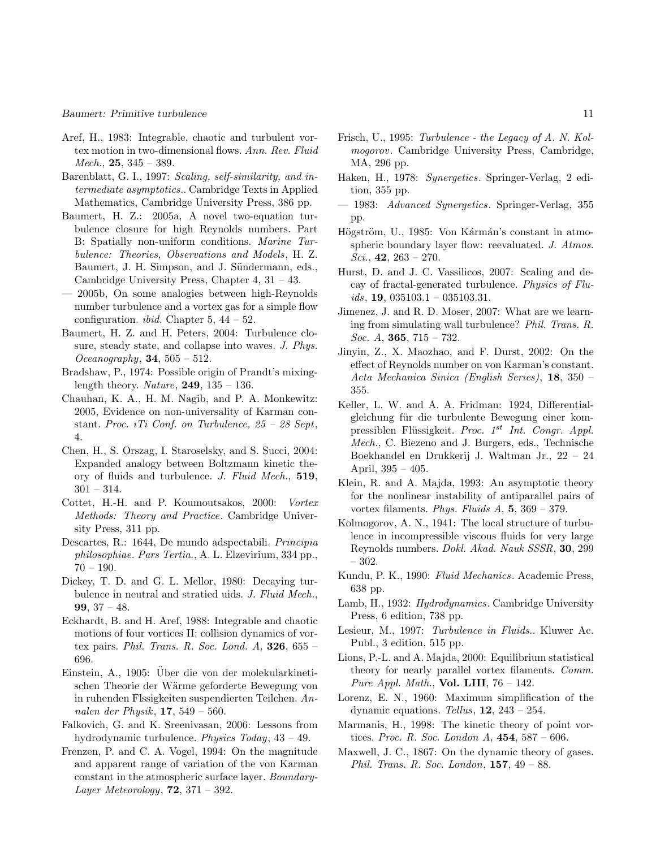- Aref, H., 1983: Integrable, chaotic and turbulent vortex motion in two-dimensional flows. Ann. Rev. Fluid  $Mech., 25, 345 - 389.$
- Barenblatt, G. I., 1997: Scaling, self-similarity, and intermediate asymptotics.. Cambridge Texts in Applied Mathematics, Cambridge University Press, 386 pp.
- Baumert, H. Z.: 2005a, A novel two-equation turbulence closure for high Reynolds numbers. Part B: Spatially non-uniform conditions. Marine Turbulence: Theories, Observations and Models, H. Z. Baumert, J. H. Simpson, and J. Sündermann, eds., Cambridge University Press, Chapter 4, 31 – 43.
- 2005b, On some analogies between high-Reynolds number turbulence and a vortex gas for a simple flow configuration. *ibid.* Chapter  $5, 44 - 52$ .
- Baumert, H. Z. and H. Peters, 2004: Turbulence closure, steady state, and collapse into waves. J. Phys. Oceanography,  $34, 505 - 512$ .
- Bradshaw, P., 1974: Possible origin of Prandt's mixinglength theory. Nature,  $249$ ,  $135 - 136$ .
- Chauhan, K. A., H. M. Nagib, and P. A. Monkewitz: 2005, Evidence on non-universality of Karman constant. Proc. iTi Conf. on Turbulence,  $25 - 28$  Sept, 4.
- Chen, H., S. Orszag, I. Staroselsky, and S. Succi, 2004: Expanded analogy between Boltzmann kinetic theory of fluids and turbulence. J. Fluid Mech., 519,  $301 - 314.$
- Cottet, H.-H. and P. Koumoutsakos, 2000: Vortex Methods: Theory and Practice. Cambridge University Press, 311 pp.
- Descartes, R.: 1644, De mundo adspectabili. Principia philosophiae. Pars Tertia., A. L. Elzevirium, 334 pp.,  $70 - 190.$
- Dickey, T. D. and G. L. Mellor, 1980: Decaying turbulence in neutral and stratied uids. J. Fluid Mech., 99, 37 – 48.
- Eckhardt, B. and H. Aref, 1988: Integrable and chaotic motions of four vortices II: collision dynamics of vortex pairs. Phil. Trans. R. Soc. Lond.  $A$ , 326, 655 – 696.
- Einstein, A., 1905: Über die von der molekularkinetischen Theorie der Wärme geforderte Bewegung von in ruhenden Flssigkeiten suspendierten Teilchen. Annalen der Physik, 17, 549 – 560.
- Falkovich, G. and K. Sreenivasan, 2006: Lessons from hydrodynamic turbulence. Physics Today, 43 – 49.
- Frenzen, P. and C. A. Vogel, 1994: On the magnitude and apparent range of variation of the von Karman constant in the atmospheric surface layer. Boundary-Layer Meteorology,  $72$ ,  $371 - 392$ .
- Frisch, U., 1995: Turbulence the Legacy of A. N. Kolmogorov. Cambridge University Press, Cambridge, MA, 296 pp.
- Haken, H., 1978: Synergetics. Springer-Verlag, 2 edition, 355 pp.
- 1983: Advanced Synergetics. Springer-Verlag, 355 pp.
- Högström, U., 1985: Von Kármán's constant in atmospheric boundary layer flow: reevaluated. J. Atmos. Sci.,  $42, 263 - 270$ .
- Hurst, D. and J. C. Vassilicos, 2007: Scaling and decay of fractal-generated turbulence. Physics of Flu $ids, 19, 035103.1 - 035103.31.$
- Jimenez, J. and R. D. Moser, 2007: What are we learning from simulating wall turbulence? Phil. Trans. R. *Soc.* A, **365**,  $715 - 732$ .
- Jinyin, Z., X. Maozhao, and F. Durst, 2002: On the effect of Reynolds number on von Karman's constant. Acta Mechanica Sinica (English Series), 18, 350 – 355.
- Keller, L. W. and A. A. Fridman: 1924, Differentialgleichung für die turbulente Bewegung einer kompressiblen Flüssigkeit. Proc. 1<sup>st</sup> Int. Congr. Appl. Mech., C. Biezeno and J. Burgers, eds., Technische Boekhandel en Drukkerij J. Waltman Jr., 22 – 24 April, 395 – 405.
- Klein, R. and A. Majda, 1993: An asymptotic theory for the nonlinear instability of antiparallel pairs of vortex filaments. Phys. Fluids A, 5, 369 – 379.
- Kolmogorov, A. N., 1941: The local structure of turbulence in incompressible viscous fluids for very large Reynolds numbers. Dokl. Akad. Nauk SSSR, 30, 299 – 302.
- Kundu, P. K., 1990: Fluid Mechanics. Academic Press, 638 pp.
- Lamb, H., 1932: Hydrodynamics. Cambridge University Press, 6 edition, 738 pp.
- Lesieur, M., 1997: Turbulence in Fluids.. Kluwer Ac. Publ., 3 edition, 515 pp.
- Lions, P.-L. and A. Majda, 2000: Equilibrium statistical theory for nearly parallel vortex filaments. Comm. Pure Appl. Math., Vol. LIII,  $76 - 142$ .
- Lorenz, E. N., 1960: Maximum simplification of the dynamic equations. Tellus,  $12$ ,  $243 - 254$ .
- Marmanis, H., 1998: The kinetic theory of point vortices. Proc. R. Soc. London A,  $454, 587 - 606$ .
- Maxwell, J. C., 1867: On the dynamic theory of gases. Phil. Trans. R. Soc. London,  $157, 49 - 88$ .